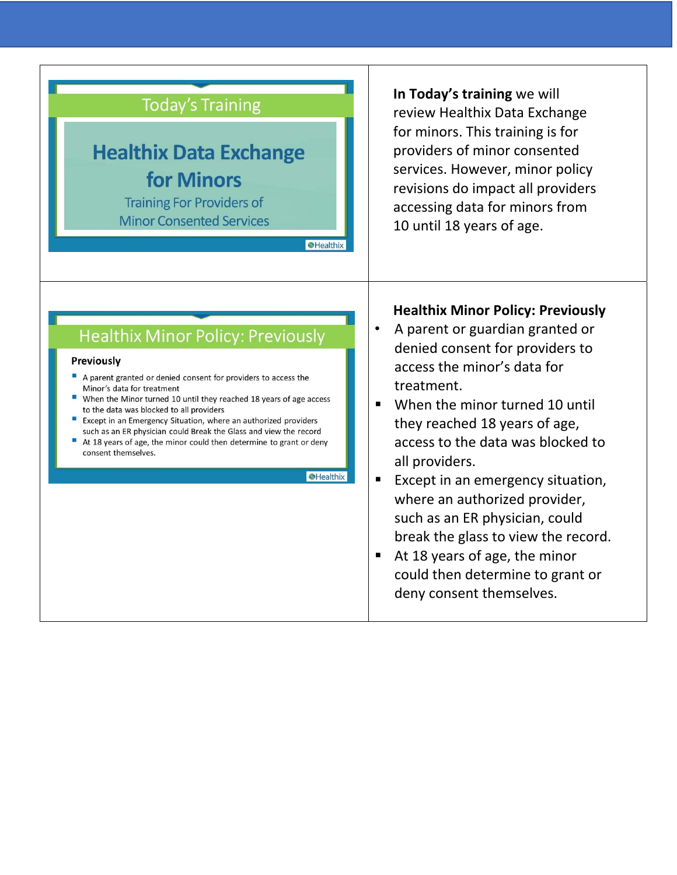

**In Today's training** we will review Healthix Data Exchange for minors. This training is for providers of minor consented services. However, minor policy revisions do impact all providers accessing data for minors from 10 until 18 years of age.

## **Healthix Minor Policy: Previously**

#### Previously

- A parent granted or denied consent for providers to access the Minor's data for treatment
- When the Minor turned 10 until they reached 18 years of age access to the data was blocked to all providers
- Except in an Emergency Situation, where an authorized providers such as an ER physician could Break the Glass and view the record
- At 18 years of age, the minor could then determine to grant or deny consent themselves.

#### Healthix

### **Healthix Minor Policy: Previously**

- A parent or guardian granted or denied consent for providers to access the minor's data for treatment.
- When the minor turned 10 until they reached 18 years of age, access to the data was blocked to all providers.
- Except in an emergency situation, where an authorized provider, such as an ER physician, could break the glass to view the record.
- At 18 years of age, the minor could then determine to grant or deny consent themselves.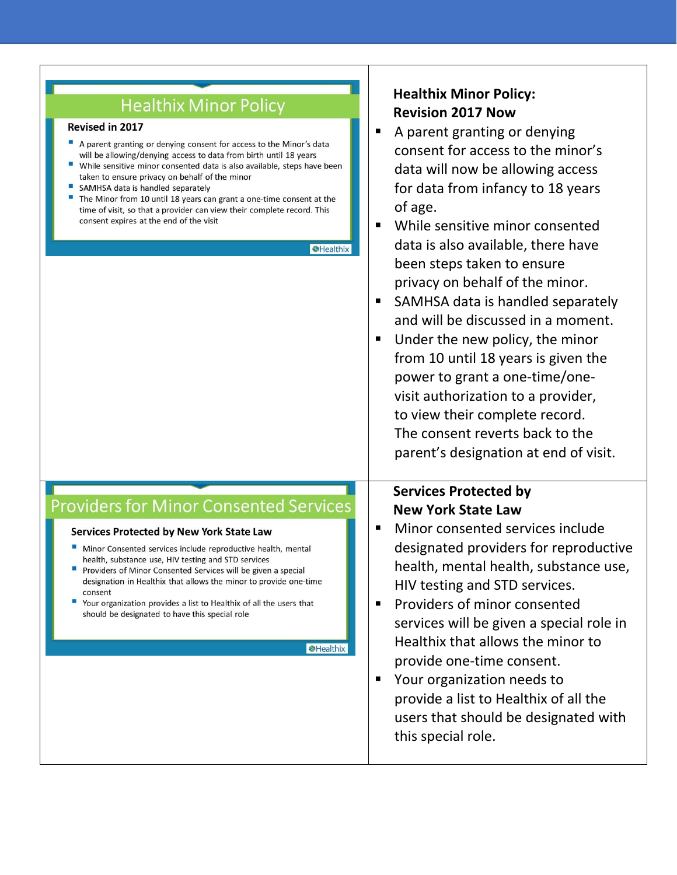| <b>Healthix Minor Policy</b><br>Revised in 2017<br>A parent granting or denying consent for access to the Minor's data<br>will be allowing/denying access to data from birth until 18 years<br>a.<br>While sensitive minor consented data is also available, steps have been<br>taken to ensure privacy on behalf of the minor<br>SAMHSA data is handled separately<br>The Minor from 10 until 18 years can grant a one-time consent at the<br>time of visit, so that a provider can view their complete record. This<br>consent expires at the end of the visit<br><b>SHealthix</b> | <b>Healthix Minor Policy:</b><br><b>Revision 2017 Now</b><br>A parent granting or denying<br>п<br>consent for access to the minor's<br>data will now be allowing access<br>for data from infancy to 18 years<br>of age.<br>While sensitive minor consented<br>$\blacksquare$<br>data is also available, there have<br>been steps taken to ensure<br>privacy on behalf of the minor.<br>SAMHSA data is handled separately<br>п<br>and will be discussed in a moment.<br>Under the new policy, the minor<br>п<br>from 10 until 18 years is given the<br>power to grant a one-time/one-<br>visit authorization to a provider,<br>to view their complete record.<br>The consent reverts back to the<br>parent's designation at end of visit. |
|--------------------------------------------------------------------------------------------------------------------------------------------------------------------------------------------------------------------------------------------------------------------------------------------------------------------------------------------------------------------------------------------------------------------------------------------------------------------------------------------------------------------------------------------------------------------------------------|------------------------------------------------------------------------------------------------------------------------------------------------------------------------------------------------------------------------------------------------------------------------------------------------------------------------------------------------------------------------------------------------------------------------------------------------------------------------------------------------------------------------------------------------------------------------------------------------------------------------------------------------------------------------------------------------------------------------------------------|
| <b>Providers for Minor Consented Services</b><br>Services Protected by New York State Law<br>Minor Consented services include reproductive health, mental<br>health, substance use, HIV testing and STD services<br>ш<br>Providers of Minor Consented Services will be given a special<br>designation in Healthix that allows the minor to provide one-time<br>consent<br>ш<br>Your organization provides a list to Healthix of all the users that<br>should be designated to have this special role<br><b>O</b> Healthix                                                            | <b>Services Protected by</b><br><b>New York State Law</b><br>Minor consented services include<br>п<br>designated providers for reproductive<br>health, mental health, substance use,<br>HIV testing and STD services.<br>Providers of minor consented<br>$\blacksquare$<br>services will be given a special role in<br>Healthix that allows the minor to<br>provide one-time consent.<br>Your organization needs to<br>п<br>provide a list to Healthix of all the<br>users that should be designated with<br>this special role.                                                                                                                                                                                                          |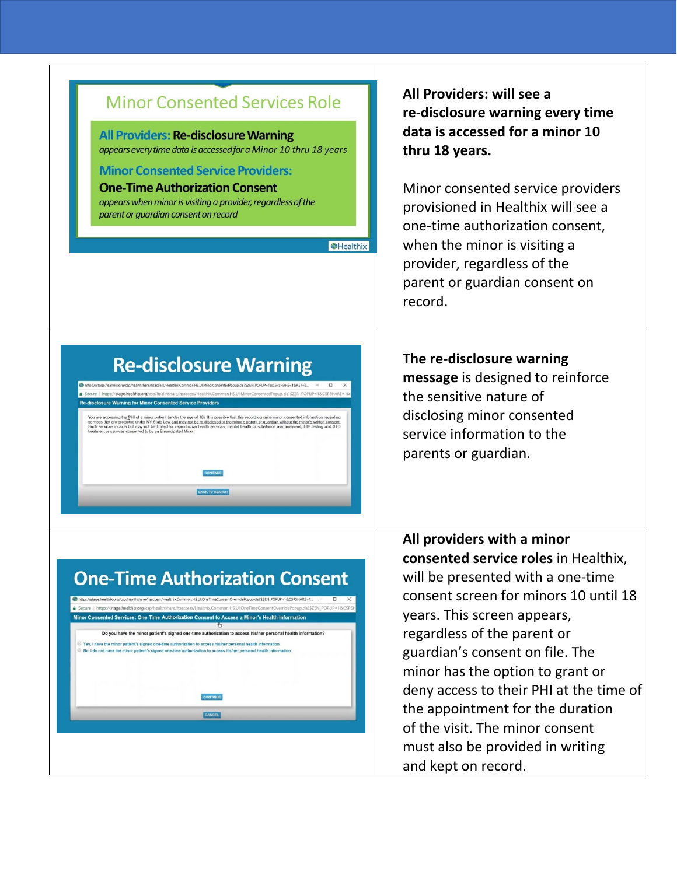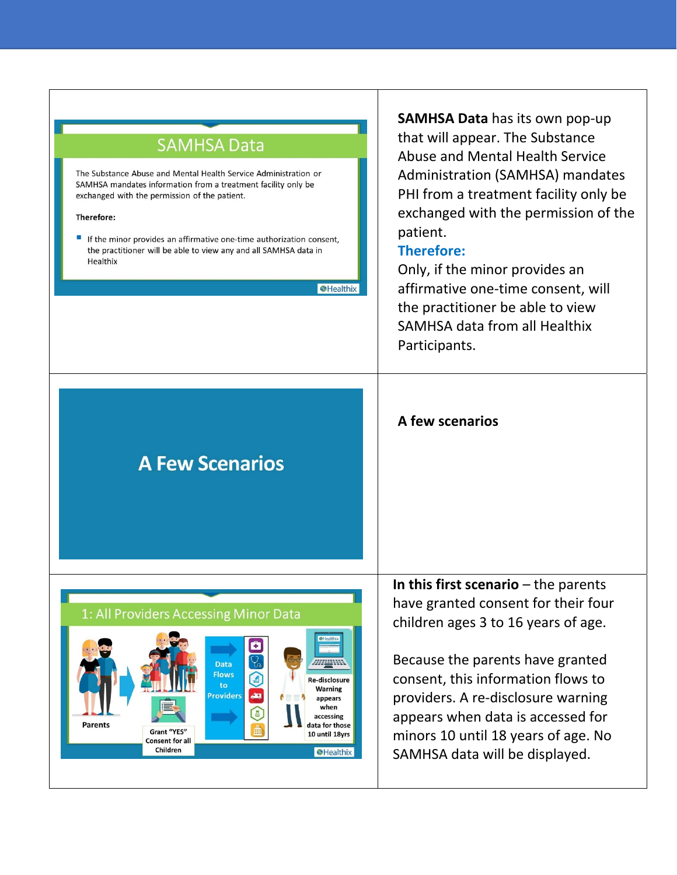## **SAMHSA Data**

The Substance Abuse and Mental Health Service Administration or SAMHSA mandates information from a treatment facility only be exchanged with the permission of the patient.

#### Therefore:

**Parents** 

If the minor provides an affirmative one-time authorization consent, the practitioner will be able to view any and all SAMHSA data in Healthix

**S**Healthix

**AHLANN** 

Re-disclosure Warning

appears when accessing

data for those

10 until 18vrs

**O**Healthix

**SAMHSA Data** has its own pop‐up that will appear. The Substance Abuse and Mental Health Service Administration (SAMHSA) mandates PHI from a treatment facility only be exchanged with the permission of the patient.

### **Therefore:**

**A few scenarios** 

Only, if the minor provides an affirmative one‐time consent, will the practitioner be able to view SAMHSA data from all Healthix Participants.

# **A Few Scenarios**

1: All Providers Accessing Minor Data

Grant "YES"

**Consent for all** Children

Data **Flows** 

roviders

9

Æ

**In this first scenario** – the parents have granted consent for their four children ages 3 to 16 years of age.

Because the parents have granted consent, this information flows to providers. A re‐disclosure warning appears when data is accessed for minors 10 until 18 years of age. No SAMHSA data will be displayed.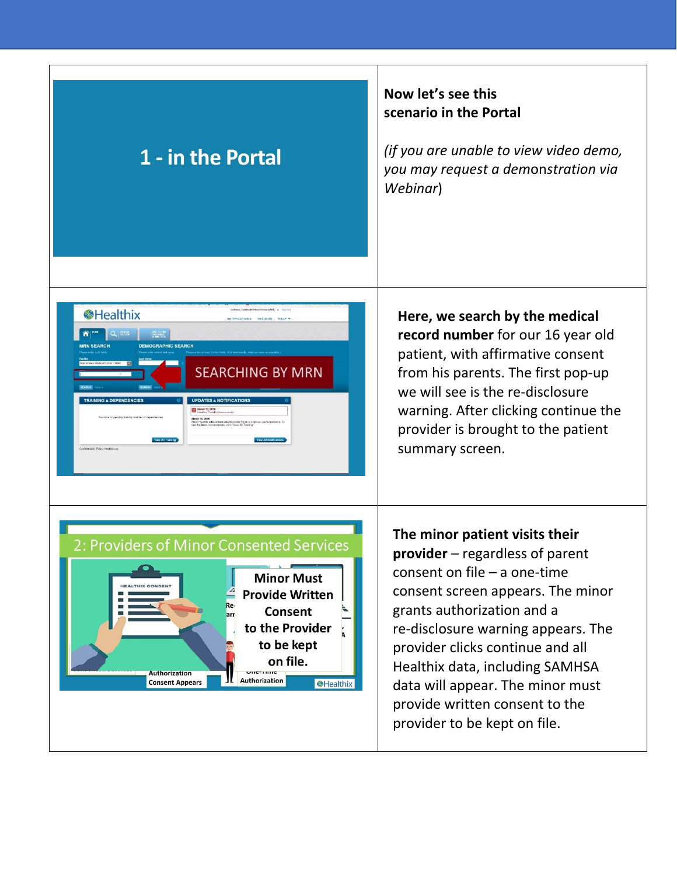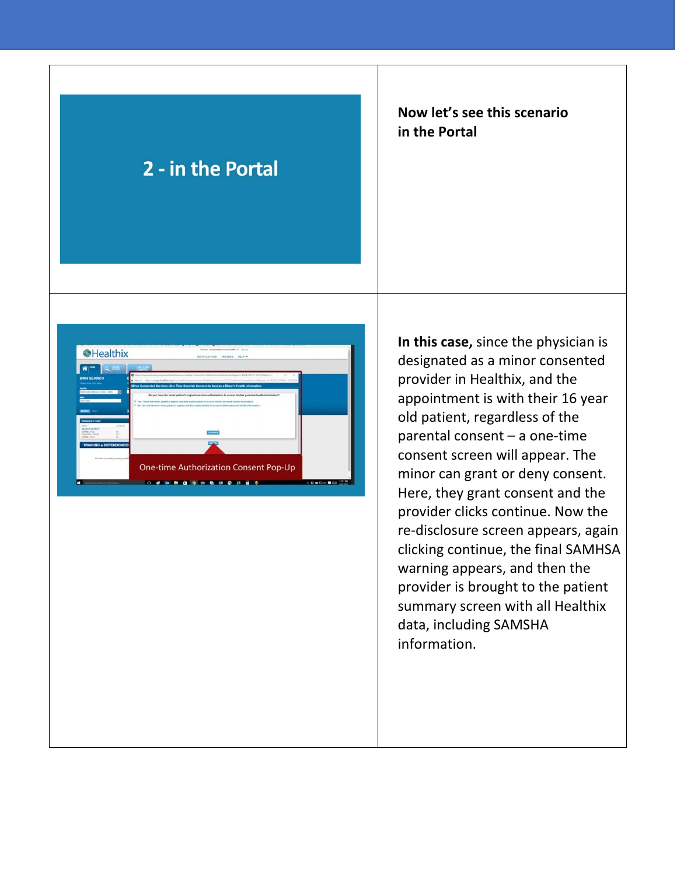# 2 - in the Portal

## **Now let's see this scenario in the Portal**



**In this case,** since the physician is designated as a minor consented provider in Healthix, and the appointment is with their 16 year old patient, regardless of the  $parent - a$  one-time consent screen will appear. The minor can grant or deny consent. Here, they grant consent and the provider clicks continue. Now the re‐disclosure screen appears, again clicking continue, the final SAMHSA warning appears, and then the provider is brought to the patient summary screen with all Healthix data, including SAMSHA information.